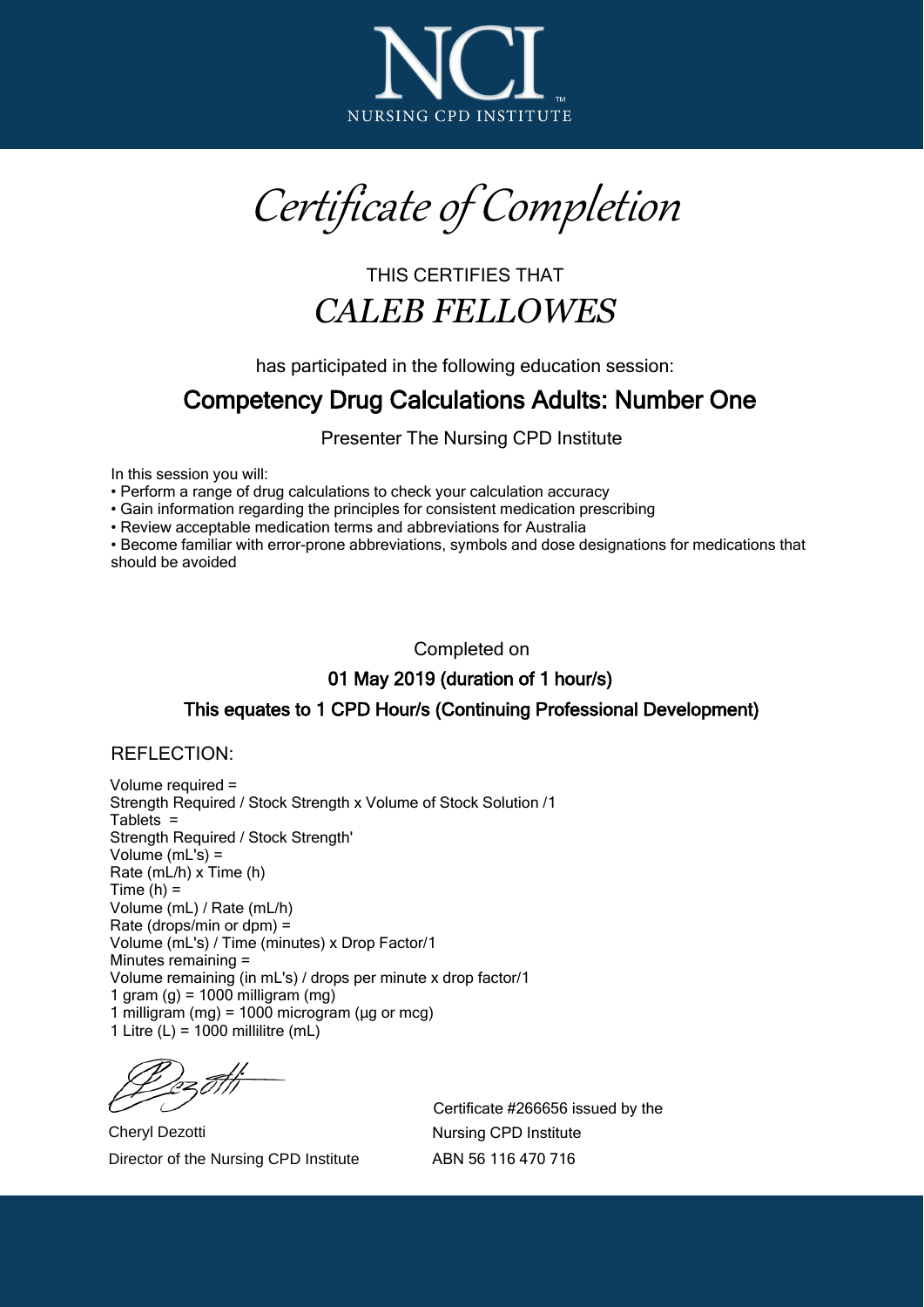

Certificate of Completion

## THIS CERTIFIES THAT *CALEB FELLOWES*

has participated in the following education session:

## Competency Drug Calculations Adults: Number One

Presenter The Nursing CPD Institute

In this session you will:

Perform a range of drug calculations to check your calculation accuracy

Gain information regarding the principles for consistent medication prescribing

Review acceptable medication terms and abbreviations for Australia

Become familiar with error-prone abbreviations, symbols and dose designations for medications that should be avoided

Completed on

01 May 2019 (duration of 1 hour/s)

## This equates to 1 CPD Hour/s (Continuing Professional Development)

## REFLECTION:

Volume required = Strength Required / Stock Strength x Volume of Stock Solution /1 Tablets = Strength Required / Stock Strength' Volume (mL's) = Rate (mL/h) x Time (h) Time  $(h) =$ Volume (mL) / Rate (mL/h) Rate (drops/min or dpm) = Volume (mL's) / Time (minutes) x Drop Factor/1 Minutes remaining = Volume remaining (in mL's) / drops per minute x drop factor/1 1 gram  $(q)$  = 1000 milligram  $(mq)$ 1 milligram (mg) =  $1000$  microgram ( $\mu$ g or mcg) 1 Litre  $(L) = 1000$  millilitre (mL)

Cheryl Dezotti Director of the Nursing CPD Institute

Certificate #266656 issued by the Nursing CPD Institute ABN 56 116 470 716